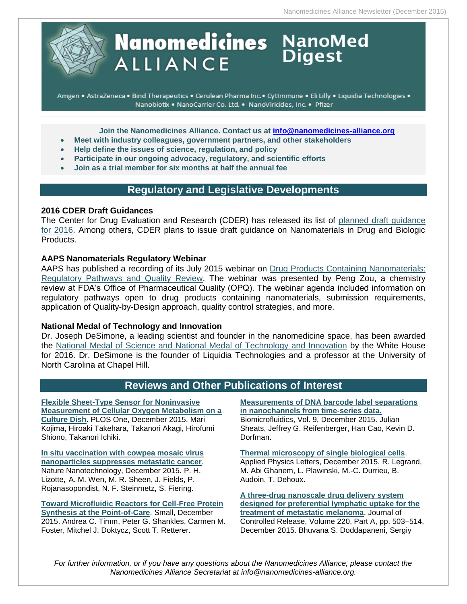

# **Nanomedicines** NanoMed **ALLIANCE**

Amgen . AstraZeneca . Bind Therapeutics . Cerulean Pharma Inc. · CytImmune . Eli Lilly . Liquidia Technologies . Nanobiotix . NanoCarrier Co. Ltd. . NanoViricides, Inc. . Pfizer

**Join the Nanomedicines Alliance. Contact us at [info@nanomedicines-alliance.org](mailto:info@nanomedicines-alliance.org)**

- **Meet with industry colleagues, government partners, and other stakeholders**
- **Help define the issues of science, regulation, and policy**
- **Participate in our ongoing advocacy, regulatory, and scientific efforts**
- **Join as a trial member for six months at half the annual fee**

# **Regulatory and Legislative Developments**

#### **2016 CDER Draft Guidances**

The Center for Drug Evaluation and Research (CDER) has released its list of [planned draft guidance](http://www.fda.gov/downloads/drugs/guidancecomplianceregulatoryinformation/guidances/ucm417290.pdf)  [for 2016.](http://www.fda.gov/downloads/drugs/guidancecomplianceregulatoryinformation/guidances/ucm417290.pdf) Among others, CDER plans to issue draft guidance on Nanomaterials in Drug and Biologic Products.

#### **AAPS Nanomaterials Regulatory Webinar**

AAPS has published a recording of its July 2015 webinar on [Drug Products Containing Nanomaterials:](https://www.aaps.org/eLearning/Webinars/2015/Drug_Products_Containing_Nanomaterials__Regulatory_Pathways_and_Quality_Review/)  [Regulatory Pathways and Quality Review.](https://www.aaps.org/eLearning/Webinars/2015/Drug_Products_Containing_Nanomaterials__Regulatory_Pathways_and_Quality_Review/) The webinar was presented by Peng Zou, a chemistry review at FDA's Office of Pharmaceutical Quality (OPQ). The webinar agenda included information on regulatory pathways open to drug products containing nanomaterials, submission requirements, application of Quality-by-Design approach, quality control strategies, and more.

#### **National Medal of Technology and Innovation**

Dr. Joseph DeSimone, a leading scientist and founder in the nanomedicine space, has been awarded the [National Medal of Science and National Medal of Technology and Innovation](http://www.unc.edu/spotlight/from-lab-bench-to-marketplace/) by the White House for 2016. Dr. DeSimone is the founder of Liquidia Technologies and a professor at the University of North Carolina at Chapel Hill.

# **Reviews and Other Publications of Interest**

**[Flexible Sheet-Type Sensor for Noninvasive](http://journals.plos.org/plosone/article?id=10.1371/journal.pone.0143774)  [Measurement of Cellular Oxygen Metabolism on a](http://journals.plos.org/plosone/article?id=10.1371/journal.pone.0143774)  [Culture Dish](http://journals.plos.org/plosone/article?id=10.1371/journal.pone.0143774)**. PLOS One, December 2015. Mari Kojima, Hiroaki Takehara, Takanori Akagi, Hirofumi Shiono, Takanori Ichiki.

**[In situ vaccination with cowpea mosaic virus](http://www.nature.com/nnano/journal/vaop/ncurrent/full/nnano.2015.292.html)  [nanoparticles suppresses metastatic cancer](http://www.nature.com/nnano/journal/vaop/ncurrent/full/nnano.2015.292.html)**. Nature Nanotechnology, December 2015. P. H. Lizotte, A. M. Wen, M. R. Sheen, J. Fields, P. Rojanasopondist, N. F. Steinmetz, S. Fiering.

**[Toward Microfluidic Reactors for Cell-Free Protein](http://onlinelibrary.wiley.com/doi/10.1002/smll.201502764/abstract)  [Synthesis at the Point-of-Care](http://onlinelibrary.wiley.com/doi/10.1002/smll.201502764/abstract)**. Small, December 2015. Andrea C. Timm, Peter G. Shankles, Carmen M. Foster, Mitchel J. Doktycz, Scott T. Retterer.

**[Measurements of DNA barcode label separations](http://scitation.aip.org/content/aip/journal/bmf/9/6/10.1063/1.4938732)  [in nanochannels from time-series data](http://scitation.aip.org/content/aip/journal/bmf/9/6/10.1063/1.4938732)**. Biomicrofluidics, Vol. 9, December 2015. Julian Sheats, Jeffrey G. Reifenberger, Han Cao, Kevin D. Dorfman.

**[Thermal microscopy of single biological cells](http://scitation.aip.org/content/aip/journal/apl/107/26/10.1063/1.4938998)**. Applied Physics Letters, December 2015. R. Legrand, M. Abi Ghanem, L. Plawinski, M.-C. Durrieu, B. Audoin, T. Dehoux.

**[A three-drug nanoscale drug delivery system](http://www.sciencedirect.com/science/article/pii/S0168365915302248)  [designed for preferential lymphatic uptake for the](http://www.sciencedirect.com/science/article/pii/S0168365915302248)  [treatment of metastatic melanoma](http://www.sciencedirect.com/science/article/pii/S0168365915302248)**. Journal of Controlled Release, Volume 220, Part A, pp. 503–514, December 2015. Bhuvana S. Doddapaneni, Sergiy

*For further information, or if you have any questions about the Nanomedicines Alliance, please contact the Nanomedicines Alliance Secretariat at info@nanomedicines-alliance.org.*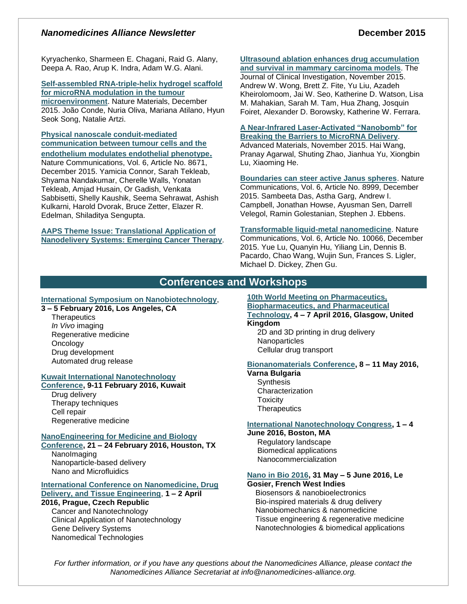#### *Nanomedicines Alliance Newsletter* **December 2015**

Kyryachenko, Sharmeen E. Chagani, Raid G. Alany, Deepa A. Rao, Arup K. Indra, Adam W.G. Alani.

**[Self-assembled RNA-triple-helix hydrogel scaffold](http://www.nature.com/nmat/journal/vaop/ncurrent/full/nmat4497.html)  [for microRNA modulation in the tumour](http://www.nature.com/nmat/journal/vaop/ncurrent/full/nmat4497.html)  [microenvironment](http://www.nature.com/nmat/journal/vaop/ncurrent/full/nmat4497.html)**. Nature Materials, December 2015. João Conde, Nuria Oliva, Mariana Atilano, Hyun Seok Song, Natalie Artzi.

**[Physical nanoscale conduit-mediated](http://www.nature.com/ncomms/2015/151216/ncomms9671/full/ncomms9671.html)  [communication between tumour cells and the](http://www.nature.com/ncomms/2015/151216/ncomms9671/full/ncomms9671.html)  [endothelium modulates endothelial phenotype](http://www.nature.com/ncomms/2015/151216/ncomms9671/full/ncomms9671.html).**

Nature Communications, Vol. 6, Article No. 8671, December 2015. Yamicia Connor, Sarah Tekleab, Shyama Nandakumar, Cherelle Walls, Yonatan Tekleab, Amjad Husain, Or Gadish, Venkata Sabbisetti, Shelly Kaushik, Seema Sehrawat, Ashish Kulkarni, Harold Dvorak, Bruce Zetter, Elazer R. Edelman, Shiladitya Sengupta.

**[AAPS Theme Issue: Translational Application of](http://link.springer.com/journal/12249/topicalCollection/AC_9f164a76eadd8961e2df4b6423bf88c2/page/1)  [Nanodelivery Systems: Emerging Cancer Therapy](http://link.springer.com/journal/12249/topicalCollection/AC_9f164a76eadd8961e2df4b6423bf88c2/page/1)**.

# **[Ultrasound ablation enhances drug accumulation](https://www.jci.org/articles/view/83312)**

**[and survival in mammary carcinoma models](https://www.jci.org/articles/view/83312)**. The Journal of Clinical Investigation, November 2015. Andrew W. Wong, Brett Z. Fite, Yu Liu, Azadeh Kheirolomoom, Jai W. Seo, Katherine D. Watson, Lisa M. Mahakian, Sarah M. Tam, Hua Zhang, Josquin Foiret, Alexander D. Borowsky, Katherine W. Ferrara.

#### **[A Near-Infrared Laser-Activated "Nanobomb" for](http://onlinelibrary.wiley.com/doi/10.1002/adma.201504263/abstract)  [Breaking the Barriers to MicroRNA Delivery](http://onlinelibrary.wiley.com/doi/10.1002/adma.201504263/abstract)**.

Advanced Materials, November 2015. Hai Wang, Pranay Agarwal, Shuting Zhao, Jianhua Yu, Xiongbin Lu, Xiaoming He.

**[Boundaries can steer active Janus spheres](http://www.nature.com/ncomms/2015/151202/ncomms9999/full/ncomms9999.html)**. Nature Communications, Vol. 6, Article No. 8999, December 2015. Sambeeta Das, Astha Garg, Andrew I. Campbell, Jonathan Howse, Ayusman Sen, Darrell Velegol, Ramin Golestanian, Stephen J. Ebbens.

**[Transformable liquid-metal nanomedicine](http://www.nature.com/ncomms/2015/151202/ncomms10066/full/ncomms10066.html)**. Nature Communications, Vol. 6, Article No. 10066, December 2015. Yue Lu, Quanyin Hu, Yiliang Lin, Dennis B. Pacardo, Chao Wang, Wujin Sun, Frances S. Ligler, Michael D. Dickey, Zhen Gu.

# **Conferences and Workshops**

#### **[International Symposium on Nanobiotechnology](http://cnsi.ctrl.ucla.edu/nanobiotechnology/pages/)**,

#### **3 – 5 February 2016, Los Angeles, CA**

**Therapeutics** *In Vivo* imaging Regenerative medicine **Oncology** Drug development Automated drug release

#### **[Kuwait International Nanotechnology](http://www.nanotechkw.com/#home)**

**[Conference,](http://www.nanotechkw.com/#home) 9-11 February 2016, Kuwait** Drug delivery Therapy techniques

Cell repair Regenerative medicine

#### **[NanoEngineering for Medicine and Biology](https://www.asme.org/events/nemb.aspx)**

**[Conference,](https://www.asme.org/events/nemb.aspx) 21 – 24 February 2016, Houston, TX** NanoImaging Nanoparticle-based delivery

Nano and Microfluidics

#### **[International Conference on Nanomedicine, Drug](http://nddte.com/)  [Delivery, and Tissue Engineering](http://nddte.com/)**, **1 – 2 April**

#### **2016, Prague, Czech Republic**

Cancer and Nanotechnology Clinical Application of Nanotechnology Gene Delivery Systems Nanomedical Technologies

**[10th World Meeting on Pharmaceutics,](http://www.worldmeeting.org/home/)  [Biopharmaceutics, and Pharmaceutical](http://www.worldmeeting.org/home/)  [Technology,](http://www.worldmeeting.org/home/) 4 – 7 April 2016, Glasgow, United** 

**Kingdom**

2D and 3D printing in drug delivery **Nanoparticles** Cellular drug transport

## **[Bionanomaterials Conference,](http://www.zingconferences.com/conferences/6th-zing-bionanomaterials-conference/) 8 – 11 May 2016,**

**Varna Bulgaria Synthesis Characterization Toxicity Therapeutics** 

#### **[International Nanotechnology Congress,](http://www.nanotoxcongress.net/index.html) 1 – 4**

#### **June 2016, Boston, MA**

Regulatory landscape Biomedical applications Nanocommercialization

#### **[Nano in Bio 2016,](http://nanoinbio2016.sciencesconf.org/) 31 May – 5 June 2016, Le**

**Gosier, French West Indies**

 Biosensors & nanobioelectronics Bio-inspired materials & drug delivery Nanobiomechanics & nanomedicine Tissue engineering & regenerative medicine Nanotechnologies & biomedical applications

*For further information, or if you have any questions about the Nanomedicines Alliance, please contact the Nanomedicines Alliance Secretariat at info@nanomedicines-alliance.org.*